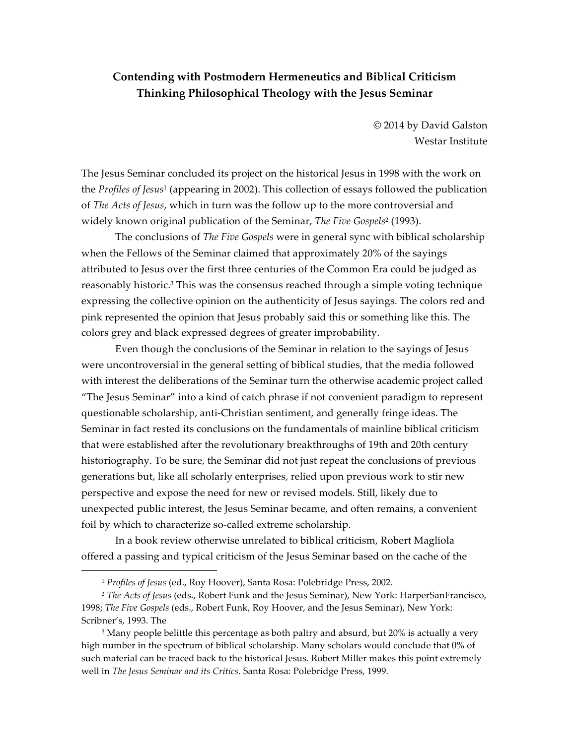# **Contending with Postmodern Hermeneutics and Biblical Criticism Thinking Philosophical Theology with the Jesus Seminar**

© 2014 by David Galston Westar Institute

The Jesus Seminar concluded its project on the historical Jesus in 1998 with the work on the *Profiles of Jesus*<sup>1</sup> (appearing in 2002). This collection of essays followed the publication of *The Acts of Jesus*, which in turn was the follow up to the more controversial and widely known original publication of the Seminar, *The Five Gospels*<sup>2</sup> (1993).

The conclusions of *The Five Gospels* were in general sync with biblical scholarship when the Fellows of the Seminar claimed that approximately 20% of the sayings attributed to Jesus over the first three centuries of the Common Era could be judged as reasonably historic.3 This was the consensus reached through a simple voting technique expressing the collective opinion on the authenticity of Jesus sayings. The colors red and pink represented the opinion that Jesus probably said this or something like this. The colors grey and black expressed degrees of greater improbability.

Even though the conclusions of the Seminar in relation to the sayings of Jesus were uncontroversial in the general setting of biblical studies, that the media followed with interest the deliberations of the Seminar turn the otherwise academic project called "The Jesus Seminar" into a kind of catch phrase if not convenient paradigm to represent questionable scholarship, anti-Christian sentiment, and generally fringe ideas. The Seminar in fact rested its conclusions on the fundamentals of mainline biblical criticism that were established after the revolutionary breakthroughs of 19th and 20th century historiography. To be sure, the Seminar did not just repeat the conclusions of previous generations but, like all scholarly enterprises, relied upon previous work to stir new perspective and expose the need for new or revised models. Still, likely due to unexpected public interest, the Jesus Seminar became, and often remains, a convenient foil by which to characterize so-called extreme scholarship.

In a book review otherwise unrelated to biblical criticism, Robert Magliola offered a passing and typical criticism of the Jesus Seminar based on the cache of the

<sup>1</sup> *Profiles of Jesus* (ed., Roy Hoover), Santa Rosa: Polebridge Press, 2002.

<sup>2</sup> *The Acts of Jesus* (eds., Robert Funk and the Jesus Seminar), New York: HarperSanFrancisco, 1998; *The Five Gospels* (eds., Robert Funk, Roy Hoover, and the Jesus Seminar), New York: Scribner's, 1993. The

<sup>&</sup>lt;sup>3</sup> Many people belittle this percentage as both paltry and absurd, but 20% is actually a very high number in the spectrum of biblical scholarship. Many scholars would conclude that 0% of such material can be traced back to the historical Jesus. Robert Miller makes this point extremely well in *The Jesus Seminar and its Critics*. Santa Rosa: Polebridge Press, 1999.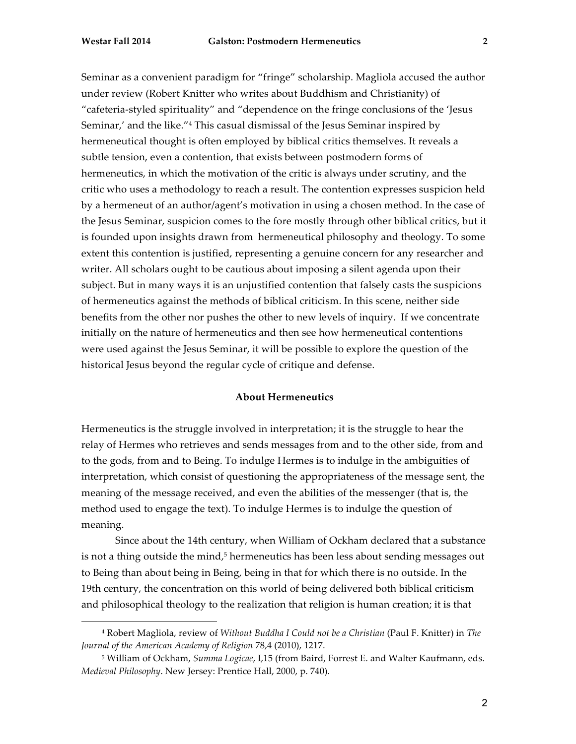Seminar as a convenient paradigm for "fringe" scholarship. Magliola accused the author under review (Robert Knitter who writes about Buddhism and Christianity) of "cafeteria-styled spirituality" and "dependence on the fringe conclusions of the 'Jesus Seminar,' and the like."<sup>4</sup> This casual dismissal of the Jesus Seminar inspired by hermeneutical thought is often employed by biblical critics themselves. It reveals a subtle tension, even a contention, that exists between postmodern forms of hermeneutics, in which the motivation of the critic is always under scrutiny, and the critic who uses a methodology to reach a result. The contention expresses suspicion held by a hermeneut of an author/agent's motivation in using a chosen method. In the case of the Jesus Seminar, suspicion comes to the fore mostly through other biblical critics, but it is founded upon insights drawn from hermeneutical philosophy and theology. To some extent this contention is justified, representing a genuine concern for any researcher and writer. All scholars ought to be cautious about imposing a silent agenda upon their subject. But in many ways it is an unjustified contention that falsely casts the suspicions of hermeneutics against the methods of biblical criticism. In this scene, neither side benefits from the other nor pushes the other to new levels of inquiry. If we concentrate initially on the nature of hermeneutics and then see how hermeneutical contentions were used against the Jesus Seminar, it will be possible to explore the question of the historical Jesus beyond the regular cycle of critique and defense.

### **About Hermeneutics**

Hermeneutics is the struggle involved in interpretation; it is the struggle to hear the relay of Hermes who retrieves and sends messages from and to the other side, from and to the gods, from and to Being. To indulge Hermes is to indulge in the ambiguities of interpretation, which consist of questioning the appropriateness of the message sent, the meaning of the message received, and even the abilities of the messenger (that is, the method used to engage the text). To indulge Hermes is to indulge the question of meaning.

Since about the 14th century, when William of Ockham declared that a substance is not a thing outside the mind, $5$  hermeneutics has been less about sending messages out to Being than about being in Being, being in that for which there is no outside. In the 19th century, the concentration on this world of being delivered both biblical criticism and philosophical theology to the realization that religion is human creation; it is that

<sup>4</sup> Robert Magliola, review of *Without Buddha I Could not be a Christian* (Paul F. Knitter) in *The Journal of the American Academy of Religion* 78,4 (2010), 1217.

<sup>5</sup> William of Ockham, *Summa Logicae*, I,15 (from Baird, Forrest E. and Walter Kaufmann, eds. *Medieval Philosophy*. New Jersey: Prentice Hall, 2000, p. 740).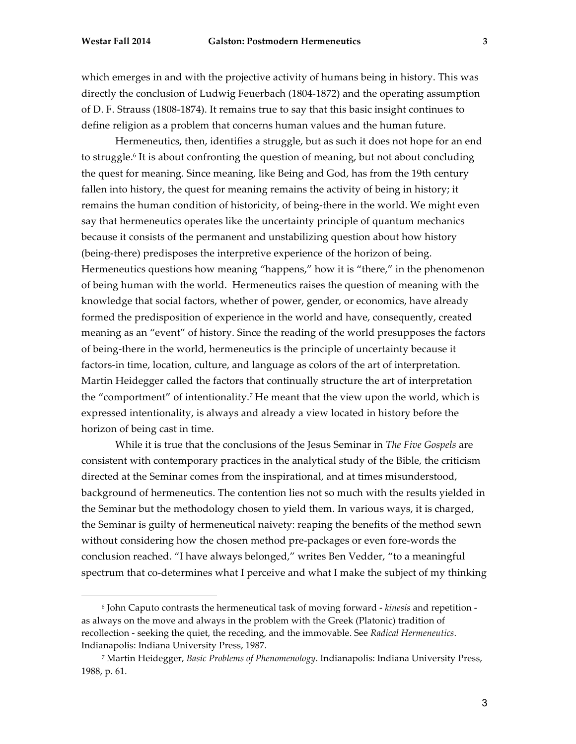which emerges in and with the projective activity of humans being in history. This was directly the conclusion of Ludwig Feuerbach (1804-1872) and the operating assumption of D. F. Strauss (1808-1874). It remains true to say that this basic insight continues to define religion as a problem that concerns human values and the human future.

Hermeneutics, then, identifies a struggle, but as such it does not hope for an end to struggle.6 It is about confronting the question of meaning, but not about concluding the quest for meaning. Since meaning, like Being and God, has from the 19th century fallen into history, the quest for meaning remains the activity of being in history; it remains the human condition of historicity, of being-there in the world. We might even say that hermeneutics operates like the uncertainty principle of quantum mechanics because it consists of the permanent and unstabilizing question about how history (being-there) predisposes the interpretive experience of the horizon of being. Hermeneutics questions how meaning "happens," how it is "there," in the phenomenon of being human with the world. Hermeneutics raises the question of meaning with the knowledge that social factors, whether of power, gender, or economics, have already formed the predisposition of experience in the world and have, consequently, created meaning as an "event" of history. Since the reading of the world presupposes the factors of being-there in the world, hermeneutics is the principle of uncertainty because it factors-in time, location, culture, and language as colors of the art of interpretation. Martin Heidegger called the factors that continually structure the art of interpretation the "comportment" of intentionality.<sup>7</sup> He meant that the view upon the world, which is expressed intentionality, is always and already a view located in history before the horizon of being cast in time.

While it is true that the conclusions of the Jesus Seminar in *The Five Gospels* are consistent with contemporary practices in the analytical study of the Bible, the criticism directed at the Seminar comes from the inspirational, and at times misunderstood, background of hermeneutics. The contention lies not so much with the results yielded in the Seminar but the methodology chosen to yield them. In various ways, it is charged, the Seminar is guilty of hermeneutical naivety: reaping the benefits of the method sewn without considering how the chosen method pre-packages or even fore-words the conclusion reached. "I have always belonged," writes Ben Vedder, "to a meaningful spectrum that co-determines what I perceive and what I make the subject of my thinking

<sup>6</sup> John Caputo contrasts the hermeneutical task of moving forward - *kinesis* and repetition as always on the move and always in the problem with the Greek (Platonic) tradition of recollection - seeking the quiet, the receding, and the immovable. See *Radical Hermeneutics*. Indianapolis: Indiana University Press, 1987.

<sup>7</sup> Martin Heidegger, *Basic Problems of Phenomenology*. Indianapolis: Indiana University Press, 1988, p. 61.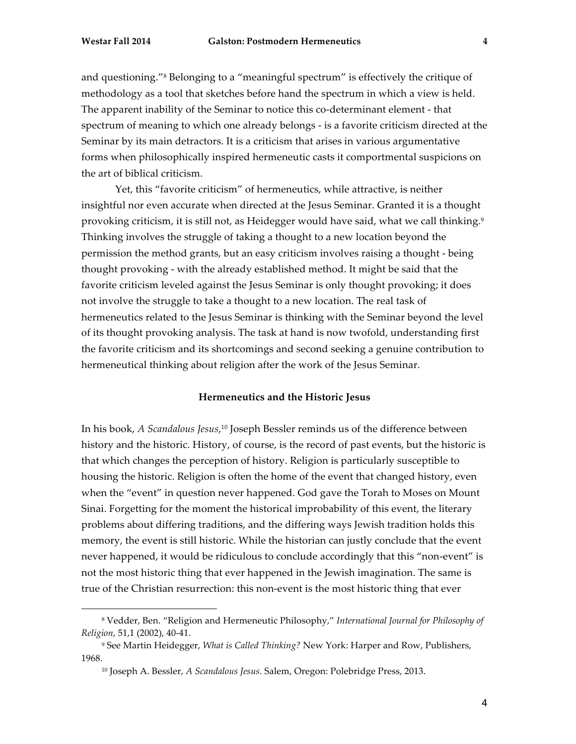and questioning."8 Belonging to a "meaningful spectrum" is effectively the critique of methodology as a tool that sketches before hand the spectrum in which a view is held. The apparent inability of the Seminar to notice this co-determinant element - that spectrum of meaning to which one already belongs - is a favorite criticism directed at the Seminar by its main detractors. It is a criticism that arises in various argumentative forms when philosophically inspired hermeneutic casts it comportmental suspicions on the art of biblical criticism.

Yet, this "favorite criticism" of hermeneutics, while attractive, is neither insightful nor even accurate when directed at the Jesus Seminar. Granted it is a thought provoking criticism, it is still not, as Heidegger would have said, what we call thinking.9 Thinking involves the struggle of taking a thought to a new location beyond the permission the method grants, but an easy criticism involves raising a thought - being thought provoking - with the already established method. It might be said that the favorite criticism leveled against the Jesus Seminar is only thought provoking; it does not involve the struggle to take a thought to a new location. The real task of hermeneutics related to the Jesus Seminar is thinking with the Seminar beyond the level of its thought provoking analysis. The task at hand is now twofold, understanding first the favorite criticism and its shortcomings and second seeking a genuine contribution to hermeneutical thinking about religion after the work of the Jesus Seminar.

## **Hermeneutics and the Historic Jesus**

In his book, *A Scandalous Jesus*, <sup>10</sup> Joseph Bessler reminds us of the difference between history and the historic. History, of course, is the record of past events, but the historic is that which changes the perception of history. Religion is particularly susceptible to housing the historic. Religion is often the home of the event that changed history, even when the "event" in question never happened. God gave the Torah to Moses on Mount Sinai. Forgetting for the moment the historical improbability of this event, the literary problems about differing traditions, and the differing ways Jewish tradition holds this memory, the event is still historic. While the historian can justly conclude that the event never happened, it would be ridiculous to conclude accordingly that this "non-event" is not the most historic thing that ever happened in the Jewish imagination. The same is true of the Christian resurrection: this non-event is the most historic thing that ever

<sup>8</sup> Vedder, Ben. "Religion and Hermeneutic Philosophy," *International Journal for Philosophy of Religion*, 51,1 (2002), 40-41.

<sup>9</sup> See Martin Heidegger, *What is Called Thinking?* New York: Harper and Row, Publishers, 1968.

<sup>10</sup> Joseph A. Bessler, *A Scandalous Jesus*. Salem, Oregon: Polebridge Press, 2013.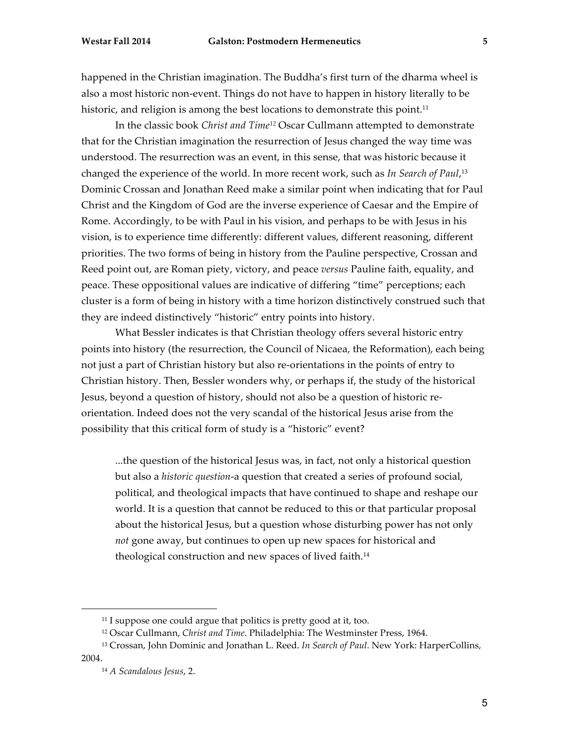happened in the Christian imagination. The Buddha's first turn of the dharma wheel is also a most historic non-event. Things do not have to happen in history literally to be historic, and religion is among the best locations to demonstrate this point.<sup>11</sup>

In the classic book *Christ and Time12* Oscar Cullmann attempted to demonstrate that for the Christian imagination the resurrection of Jesus changed the way time was understood. The resurrection was an event, in this sense, that was historic because it changed the experience of the world. In more recent work, such as *In Search of Paul*, 13 Dominic Crossan and Jonathan Reed make a similar point when indicating that for Paul Christ and the Kingdom of God are the inverse experience of Caesar and the Empire of Rome. Accordingly, to be with Paul in his vision, and perhaps to be with Jesus in his vision, is to experience time differently: different values, different reasoning, different priorities. The two forms of being in history from the Pauline perspective, Crossan and Reed point out, are Roman piety, victory, and peace *versus* Pauline faith, equality, and peace. These oppositional values are indicative of differing "time" perceptions; each cluster is a form of being in history with a time horizon distinctively construed such that they are indeed distinctively "historic" entry points into history.

What Bessler indicates is that Christian theology offers several historic entry points into history (the resurrection, the Council of Nicaea, the Reformation), each being not just a part of Christian history but also re-orientations in the points of entry to Christian history. Then, Bessler wonders why, or perhaps if, the study of the historical Jesus, beyond a question of history, should not also be a question of historic reorientation. Indeed does not the very scandal of the historical Jesus arise from the possibility that this critical form of study is a "historic" event?

...the question of the historical Jesus was, in fact, not only a historical question but also a *historic question*-a question that created a series of profound social, political, and theological impacts that have continued to shape and reshape our world. It is a question that cannot be reduced to this or that particular proposal about the historical Jesus, but a question whose disturbing power has not only *not* gone away, but continues to open up new spaces for historical and theological construction and new spaces of lived faith.<sup>14</sup>

<sup>&</sup>lt;sup>11</sup> I suppose one could argue that politics is pretty good at it, too.

<sup>12</sup> Oscar Cullmann, *Christ and Time*. Philadelphia: The Westminster Press, 1964.

<sup>13</sup> Crossan, John Dominic and Jonathan L. Reed. *In Search of Paul*. New York: HarperCollins, 2004.

<sup>14</sup> *A Scandalous Jesus*, 2.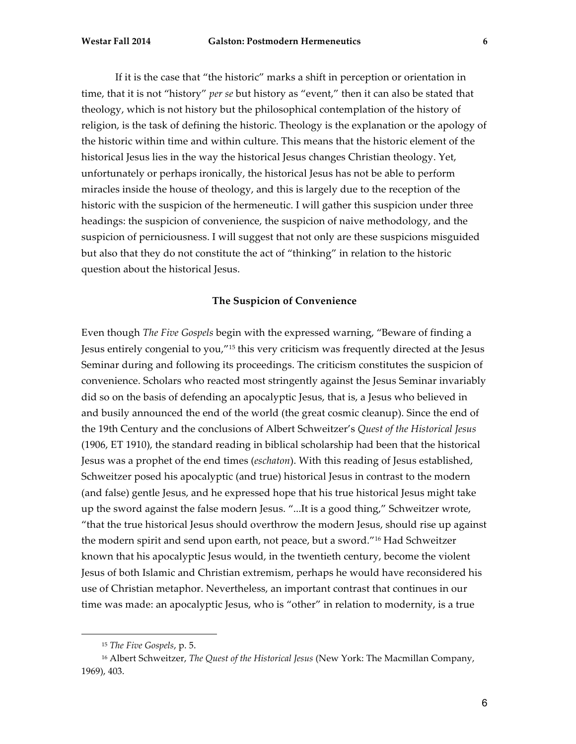If it is the case that "the historic" marks a shift in perception or orientation in time, that it is not "history" *per se* but history as "event," then it can also be stated that theology, which is not history but the philosophical contemplation of the history of religion, is the task of defining the historic. Theology is the explanation or the apology of the historic within time and within culture. This means that the historic element of the historical Jesus lies in the way the historical Jesus changes Christian theology. Yet, unfortunately or perhaps ironically, the historical Jesus has not be able to perform miracles inside the house of theology, and this is largely due to the reception of the historic with the suspicion of the hermeneutic. I will gather this suspicion under three headings: the suspicion of convenience, the suspicion of naive methodology, and the suspicion of perniciousness. I will suggest that not only are these suspicions misguided but also that they do not constitute the act of "thinking" in relation to the historic question about the historical Jesus.

### **The Suspicion of Convenience**

Even though *The Five Gospels* begin with the expressed warning, "Beware of finding a Jesus entirely congenial to you,"15 this very criticism was frequently directed at the Jesus Seminar during and following its proceedings. The criticism constitutes the suspicion of convenience. Scholars who reacted most stringently against the Jesus Seminar invariably did so on the basis of defending an apocalyptic Jesus, that is, a Jesus who believed in and busily announced the end of the world (the great cosmic cleanup). Since the end of the 19th Century and the conclusions of Albert Schweitzer's *Quest of the Historical Jesus* (1906, ET 1910), the standard reading in biblical scholarship had been that the historical Jesus was a prophet of the end times (*eschaton*). With this reading of Jesus established, Schweitzer posed his apocalyptic (and true) historical Jesus in contrast to the modern (and false) gentle Jesus, and he expressed hope that his true historical Jesus might take up the sword against the false modern Jesus. "...It is a good thing," Schweitzer wrote, "that the true historical Jesus should overthrow the modern Jesus, should rise up against the modern spirit and send upon earth, not peace, but a sword."16 Had Schweitzer known that his apocalyptic Jesus would, in the twentieth century, become the violent Jesus of both Islamic and Christian extremism, perhaps he would have reconsidered his use of Christian metaphor. Nevertheless, an important contrast that continues in our time was made: an apocalyptic Jesus, who is "other" in relation to modernity, is a true

<sup>15</sup> *The Five Gospels*, p. 5.

<sup>16</sup> Albert Schweitzer, *The Quest of the Historical Jesus* (New York: The Macmillan Company, 1969), 403.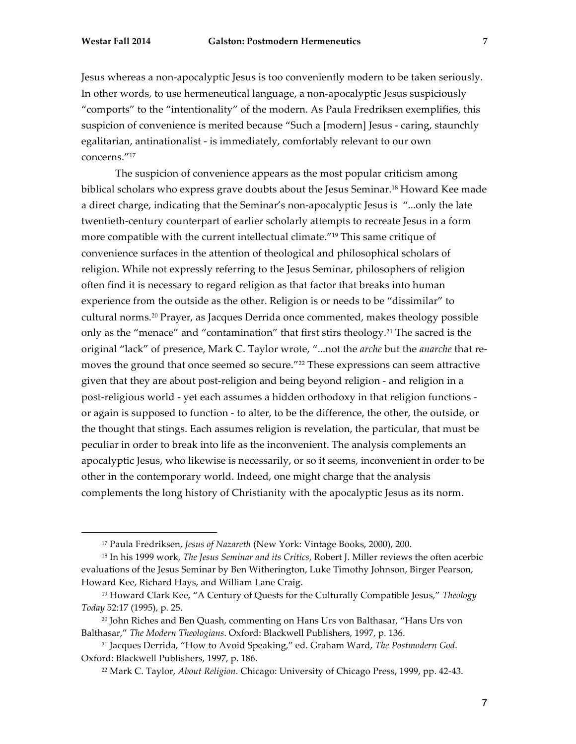Jesus whereas a non-apocalyptic Jesus is too conveniently modern to be taken seriously. In other words, to use hermeneutical language, a non-apocalyptic Jesus suspiciously "comports" to the "intentionality" of the modern. As Paula Fredriksen exemplifies, this suspicion of convenience is merited because "Such a [modern] Jesus - caring, staunchly egalitarian, antinationalist - is immediately, comfortably relevant to our own concerns."17

The suspicion of convenience appears as the most popular criticism among biblical scholars who express grave doubts about the Jesus Seminar.18 Howard Kee made a direct charge, indicating that the Seminar's non-apocalyptic Jesus is "...only the late twentieth-century counterpart of earlier scholarly attempts to recreate Jesus in a form more compatible with the current intellectual climate."19 This same critique of convenience surfaces in the attention of theological and philosophical scholars of religion. While not expressly referring to the Jesus Seminar, philosophers of religion often find it is necessary to regard religion as that factor that breaks into human experience from the outside as the other. Religion is or needs to be "dissimilar" to cultural norms.20 Prayer, as Jacques Derrida once commented, makes theology possible only as the "menace" and "contamination" that first stirs theology.21 The sacred is the original "lack" of presence, Mark C. Taylor wrote, "...not the *arche* but the *anarche* that removes the ground that once seemed so secure."22 These expressions can seem attractive given that they are about post-religion and being beyond religion - and religion in a post-religious world - yet each assumes a hidden orthodoxy in that religion functions or again is supposed to function - to alter, to be the difference, the other, the outside, or the thought that stings. Each assumes religion is revelation, the particular, that must be peculiar in order to break into life as the inconvenient. The analysis complements an apocalyptic Jesus, who likewise is necessarily, or so it seems, inconvenient in order to be other in the contemporary world. Indeed, one might charge that the analysis complements the long history of Christianity with the apocalyptic Jesus as its norm.

<sup>17</sup> Paula Fredriksen, *Jesus of Nazareth* (New York: Vintage Books, 2000), 200.

<sup>18</sup> In his 1999 work, *The Jesus Seminar and its Critics*, Robert J. Miller reviews the often acerbic evaluations of the Jesus Seminar by Ben Witherington, Luke Timothy Johnson, Birger Pearson, Howard Kee, Richard Hays, and William Lane Craig.

<sup>19</sup> Howard Clark Kee, "A Century of Quests for the Culturally Compatible Jesus," *Theology Today* 52:17 (1995), p. 25.

<sup>20</sup> John Riches and Ben Quash, commenting on Hans Urs von Balthasar, "Hans Urs von Balthasar," *The Modern Theologians*. Oxford: Blackwell Publishers, 1997, p. 136.

<sup>21</sup> Jacques Derrida, "How to Avoid Speaking," ed. Graham Ward, *The Postmodern God*. Oxford: Blackwell Publishers, 1997, p. 186.

<sup>22</sup> Mark C. Taylor, *About Religion*. Chicago: University of Chicago Press, 1999, pp. 42-43.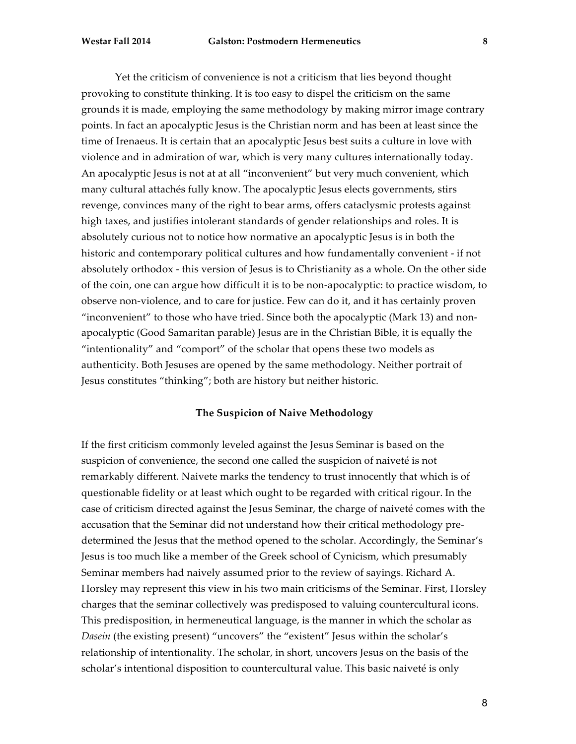Yet the criticism of convenience is not a criticism that lies beyond thought provoking to constitute thinking. It is too easy to dispel the criticism on the same grounds it is made, employing the same methodology by making mirror image contrary points. In fact an apocalyptic Jesus is the Christian norm and has been at least since the time of Irenaeus. It is certain that an apocalyptic Jesus best suits a culture in love with violence and in admiration of war, which is very many cultures internationally today. An apocalyptic Jesus is not at at all "inconvenient" but very much convenient, which many cultural attachés fully know. The apocalyptic Jesus elects governments, stirs revenge, convinces many of the right to bear arms, offers cataclysmic protests against high taxes, and justifies intolerant standards of gender relationships and roles. It is absolutely curious not to notice how normative an apocalyptic Jesus is in both the historic and contemporary political cultures and how fundamentally convenient - if not absolutely orthodox - this version of Jesus is to Christianity as a whole. On the other side of the coin, one can argue how difficult it is to be non-apocalyptic: to practice wisdom, to observe non-violence, and to care for justice. Few can do it, and it has certainly proven "inconvenient" to those who have tried. Since both the apocalyptic (Mark 13) and nonapocalyptic (Good Samaritan parable) Jesus are in the Christian Bible, it is equally the "intentionality" and "comport" of the scholar that opens these two models as authenticity. Both Jesuses are opened by the same methodology. Neither portrait of Jesus constitutes "thinking"; both are history but neither historic.

# **The Suspicion of Naive Methodology**

If the first criticism commonly leveled against the Jesus Seminar is based on the suspicion of convenience, the second one called the suspicion of naiveté is not remarkably different. Naivete marks the tendency to trust innocently that which is of questionable fidelity or at least which ought to be regarded with critical rigour. In the case of criticism directed against the Jesus Seminar, the charge of naiveté comes with the accusation that the Seminar did not understand how their critical methodology predetermined the Jesus that the method opened to the scholar. Accordingly, the Seminar's Jesus is too much like a member of the Greek school of Cynicism, which presumably Seminar members had naively assumed prior to the review of sayings. Richard A. Horsley may represent this view in his two main criticisms of the Seminar. First, Horsley charges that the seminar collectively was predisposed to valuing countercultural icons. This predisposition, in hermeneutical language, is the manner in which the scholar as *Dasein* (the existing present) "uncovers" the "existent" Jesus within the scholar's relationship of intentionality. The scholar, in short, uncovers Jesus on the basis of the scholar's intentional disposition to countercultural value. This basic naiveté is only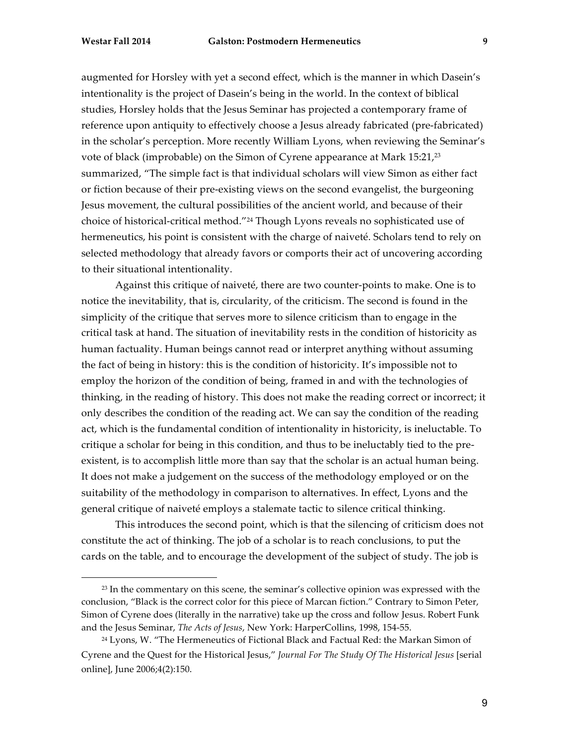augmented for Horsley with yet a second effect, which is the manner in which Dasein's intentionality is the project of Dasein's being in the world. In the context of biblical studies, Horsley holds that the Jesus Seminar has projected a contemporary frame of reference upon antiquity to effectively choose a Jesus already fabricated (pre-fabricated) in the scholar's perception. More recently William Lyons, when reviewing the Seminar's vote of black (improbable) on the Simon of Cyrene appearance at Mark 15:21,23 summarized, "The simple fact is that individual scholars will view Simon as either fact or fiction because of their pre-existing views on the second evangelist, the burgeoning Jesus movement, the cultural possibilities of the ancient world, and because of their choice of historical-critical method."24 Though Lyons reveals no sophisticated use of hermeneutics, his point is consistent with the charge of naiveté. Scholars tend to rely on selected methodology that already favors or comports their act of uncovering according to their situational intentionality.

Against this critique of naiveté, there are two counter-points to make. One is to notice the inevitability, that is, circularity, of the criticism. The second is found in the simplicity of the critique that serves more to silence criticism than to engage in the critical task at hand. The situation of inevitability rests in the condition of historicity as human factuality. Human beings cannot read or interpret anything without assuming the fact of being in history: this is the condition of historicity. It's impossible not to employ the horizon of the condition of being, framed in and with the technologies of thinking, in the reading of history. This does not make the reading correct or incorrect; it only describes the condition of the reading act. We can say the condition of the reading act, which is the fundamental condition of intentionality in historicity, is ineluctable. To critique a scholar for being in this condition, and thus to be ineluctably tied to the preexistent, is to accomplish little more than say that the scholar is an actual human being. It does not make a judgement on the success of the methodology employed or on the suitability of the methodology in comparison to alternatives. In effect, Lyons and the general critique of naiveté employs a stalemate tactic to silence critical thinking.

This introduces the second point, which is that the silencing of criticism does not constitute the act of thinking. The job of a scholar is to reach conclusions, to put the cards on the table, and to encourage the development of the subject of study. The job is

<sup>&</sup>lt;sup>23</sup> In the commentary on this scene, the seminar's collective opinion was expressed with the conclusion, "Black is the correct color for this piece of Marcan fiction." Contrary to Simon Peter, Simon of Cyrene does (literally in the narrative) take up the cross and follow Jesus. Robert Funk and the Jesus Seminar, *The Acts of Jesus*, New York: HarperCollins, 1998, 154-55.

<sup>&</sup>lt;sup>24</sup> Lyons, W. "The Hermeneutics of Fictional Black and Factual Red: the Markan Simon of Cyrene and the Quest for the Historical Jesus," *Journal For The Study Of The Historical Jesus* [serial online], June 2006;4(2):150.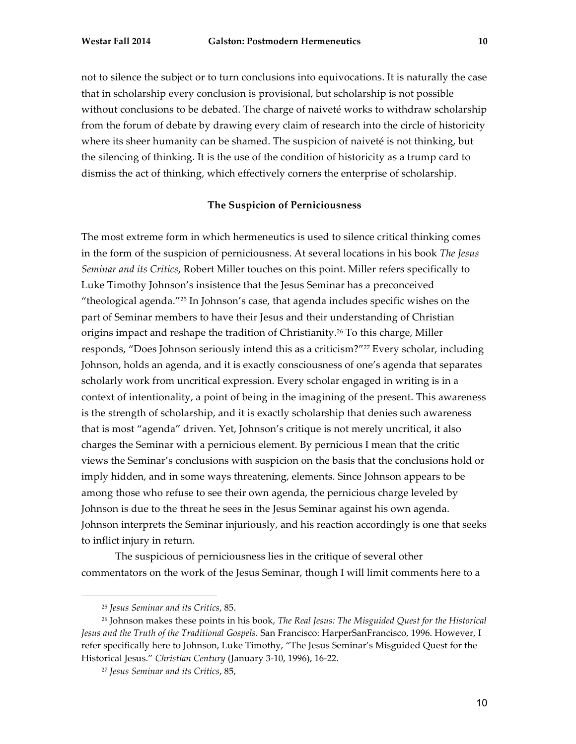not to silence the subject or to turn conclusions into equivocations. It is naturally the case that in scholarship every conclusion is provisional, but scholarship is not possible without conclusions to be debated. The charge of naiveté works to withdraw scholarship from the forum of debate by drawing every claim of research into the circle of historicity where its sheer humanity can be shamed. The suspicion of naiveté is not thinking, but the silencing of thinking. It is the use of the condition of historicity as a trump card to dismiss the act of thinking, which effectively corners the enterprise of scholarship.

#### **The Suspicion of Perniciousness**

The most extreme form in which hermeneutics is used to silence critical thinking comes in the form of the suspicion of perniciousness. At several locations in his book *The Jesus Seminar and its Critics*, Robert Miller touches on this point. Miller refers specifically to Luke Timothy Johnson's insistence that the Jesus Seminar has a preconceived "theological agenda."25 In Johnson's case, that agenda includes specific wishes on the part of Seminar members to have their Jesus and their understanding of Christian origins impact and reshape the tradition of Christianity.26 To this charge, Miller responds, "Does Johnson seriously intend this as a criticism?"27 Every scholar, including Johnson, holds an agenda, and it is exactly consciousness of one's agenda that separates scholarly work from uncritical expression. Every scholar engaged in writing is in a context of intentionality, a point of being in the imagining of the present. This awareness is the strength of scholarship, and it is exactly scholarship that denies such awareness that is most "agenda" driven. Yet, Johnson's critique is not merely uncritical, it also charges the Seminar with a pernicious element. By pernicious I mean that the critic views the Seminar's conclusions with suspicion on the basis that the conclusions hold or imply hidden, and in some ways threatening, elements. Since Johnson appears to be among those who refuse to see their own agenda, the pernicious charge leveled by Johnson is due to the threat he sees in the Jesus Seminar against his own agenda. Johnson interprets the Seminar injuriously, and his reaction accordingly is one that seeks to inflict injury in return.

The suspicious of perniciousness lies in the critique of several other commentators on the work of the Jesus Seminar, though I will limit comments here to a

<sup>25</sup> *Jesus Seminar and its Critics*, 85.

<sup>26</sup> Johnson makes these points in his book, *The Real Jesus: The Misguided Quest for the Historical Jesus and the Truth of the Traditional Gospels*. San Francisco: HarperSanFrancisco, 1996. However, I refer specifically here to Johnson, Luke Timothy, "The Jesus Seminar's Misguided Quest for the Historical Jesus." *Christian Century* (January 3-10, 1996), 16-22.

<sup>27</sup> *Jesus Seminar and its Critics*, 85,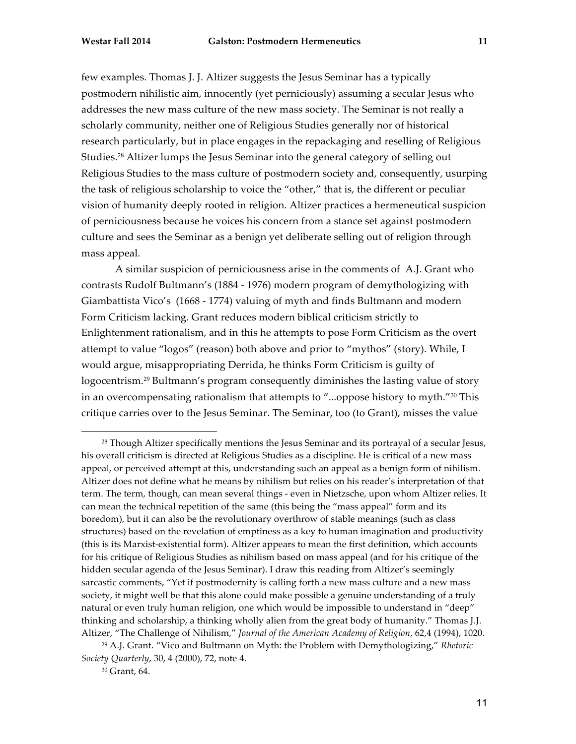few examples. Thomas J. J. Altizer suggests the Jesus Seminar has a typically postmodern nihilistic aim, innocently (yet perniciously) assuming a secular Jesus who addresses the new mass culture of the new mass society. The Seminar is not really a scholarly community, neither one of Religious Studies generally nor of historical research particularly, but in place engages in the repackaging and reselling of Religious Studies.28 Altizer lumps the Jesus Seminar into the general category of selling out Religious Studies to the mass culture of postmodern society and, consequently, usurping the task of religious scholarship to voice the "other," that is, the different or peculiar vision of humanity deeply rooted in religion. Altizer practices a hermeneutical suspicion of perniciousness because he voices his concern from a stance set against postmodern culture and sees the Seminar as a benign yet deliberate selling out of religion through mass appeal.

A similar suspicion of perniciousness arise in the comments of A.J. Grant who contrasts Rudolf Bultmann's (1884 - 1976) modern program of demythologizing with Giambattista Vico's (1668 - 1774) valuing of myth and finds Bultmann and modern Form Criticism lacking. Grant reduces modern biblical criticism strictly to Enlightenment rationalism, and in this he attempts to pose Form Criticism as the overt attempt to value "logos" (reason) both above and prior to "mythos" (story). While, I would argue, misappropriating Derrida, he thinks Form Criticism is guilty of logocentrism.29 Bultmann's program consequently diminishes the lasting value of story in an overcompensating rationalism that attempts to "...oppose history to myth."30 This critique carries over to the Jesus Seminar. The Seminar, too (to Grant), misses the value

<sup>28</sup> Though Altizer specifically mentions the Jesus Seminar and its portrayal of a secular Jesus, his overall criticism is directed at Religious Studies as a discipline. He is critical of a new mass appeal, or perceived attempt at this, understanding such an appeal as a benign form of nihilism. Altizer does not define what he means by nihilism but relies on his reader's interpretation of that term. The term, though, can mean several things - even in Nietzsche, upon whom Altizer relies. It can mean the technical repetition of the same (this being the "mass appeal" form and its boredom), but it can also be the revolutionary overthrow of stable meanings (such as class structures) based on the revelation of emptiness as a key to human imagination and productivity (this is its Marxist-existential form). Altizer appears to mean the first definition, which accounts for his critique of Religious Studies as nihilism based on mass appeal (and for his critique of the hidden secular agenda of the Jesus Seminar). I draw this reading from Altizer's seemingly sarcastic comments, "Yet if postmodernity is calling forth a new mass culture and a new mass society, it might well be that this alone could make possible a genuine understanding of a truly natural or even truly human religion, one which would be impossible to understand in "deep" thinking and scholarship, a thinking wholly alien from the great body of humanity." Thomas J.J. Altizer, "The Challenge of Nihilism," *Journal of the American Academy of Religion*, 62,4 (1994), 1020.

<sup>29</sup> A.J. Grant. "Vico and Bultmann on Myth: the Problem with Demythologizing," *Rhetoric Society Quarterly*, 30, 4 (2000), 72, note 4.

<sup>30</sup> Grant, 64.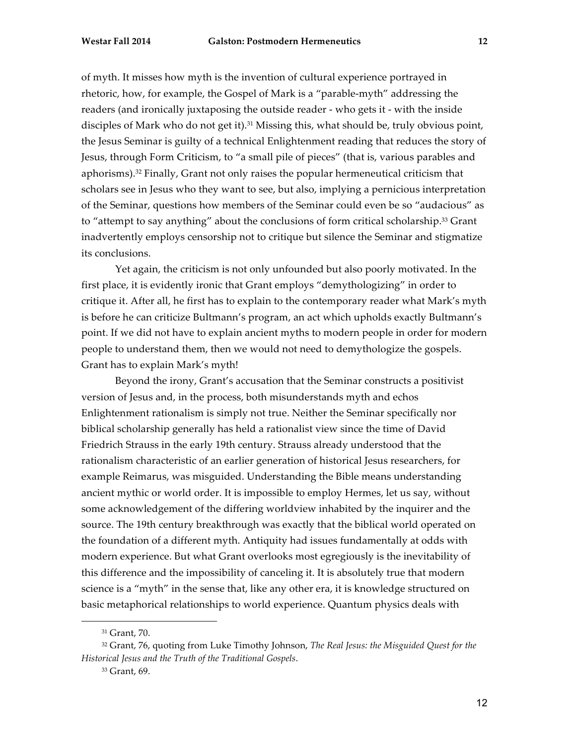of myth. It misses how myth is the invention of cultural experience portrayed in rhetoric, how, for example, the Gospel of Mark is a "parable-myth" addressing the readers (and ironically juxtaposing the outside reader - who gets it - with the inside disciples of Mark who do not get it).31 Missing this, what should be, truly obvious point, the Jesus Seminar is guilty of a technical Enlightenment reading that reduces the story of Jesus, through Form Criticism, to "a small pile of pieces" (that is, various parables and aphorisms).32 Finally, Grant not only raises the popular hermeneutical criticism that scholars see in Jesus who they want to see, but also, implying a pernicious interpretation of the Seminar, questions how members of the Seminar could even be so "audacious" as to "attempt to say anything" about the conclusions of form critical scholarship.<sup>33</sup> Grant inadvertently employs censorship not to critique but silence the Seminar and stigmatize its conclusions.

Yet again, the criticism is not only unfounded but also poorly motivated. In the first place, it is evidently ironic that Grant employs "demythologizing" in order to critique it. After all, he first has to explain to the contemporary reader what Mark's myth is before he can criticize Bultmann's program, an act which upholds exactly Bultmann's point. If we did not have to explain ancient myths to modern people in order for modern people to understand them, then we would not need to demythologize the gospels. Grant has to explain Mark's myth!

Beyond the irony, Grant's accusation that the Seminar constructs a positivist version of Jesus and, in the process, both misunderstands myth and echos Enlightenment rationalism is simply not true. Neither the Seminar specifically nor biblical scholarship generally has held a rationalist view since the time of David Friedrich Strauss in the early 19th century. Strauss already understood that the rationalism characteristic of an earlier generation of historical Jesus researchers, for example Reimarus, was misguided. Understanding the Bible means understanding ancient mythic or world order. It is impossible to employ Hermes, let us say, without some acknowledgement of the differing worldview inhabited by the inquirer and the source. The 19th century breakthrough was exactly that the biblical world operated on the foundation of a different myth. Antiquity had issues fundamentally at odds with modern experience. But what Grant overlooks most egregiously is the inevitability of this difference and the impossibility of canceling it. It is absolutely true that modern science is a "myth" in the sense that, like any other era, it is knowledge structured on basic metaphorical relationships to world experience. Quantum physics deals with

<sup>31</sup> Grant, 70.

<sup>32</sup> Grant, 76, quoting from Luke Timothy Johnson, *The Real Jesus: the Misguided Quest for the Historical Jesus and the Truth of the Traditional Gospels*.

<sup>33</sup> Grant, 69.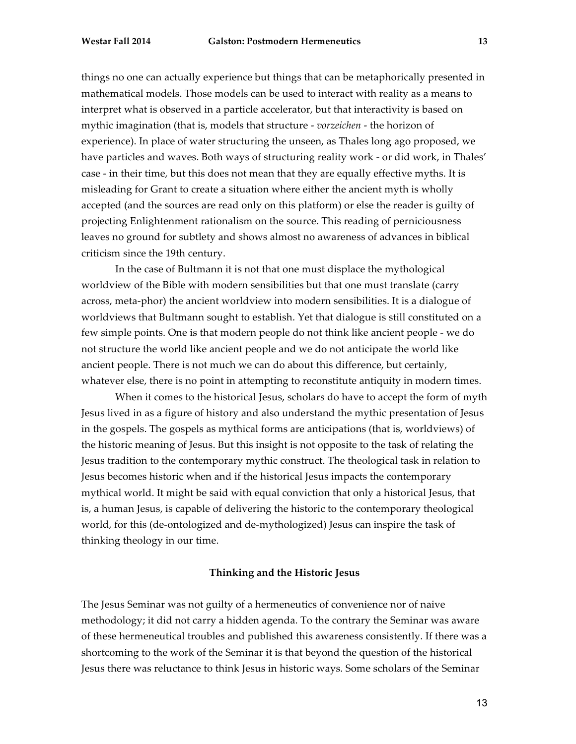things no one can actually experience but things that can be metaphorically presented in mathematical models. Those models can be used to interact with reality as a means to interpret what is observed in a particle accelerator, but that interactivity is based on mythic imagination (that is, models that structure - *vorzeichen* - the horizon of experience). In place of water structuring the unseen, as Thales long ago proposed, we have particles and waves. Both ways of structuring reality work - or did work, in Thales' case - in their time, but this does not mean that they are equally effective myths. It is misleading for Grant to create a situation where either the ancient myth is wholly accepted (and the sources are read only on this platform) or else the reader is guilty of projecting Enlightenment rationalism on the source. This reading of perniciousness leaves no ground for subtlety and shows almost no awareness of advances in biblical criticism since the 19th century.

In the case of Bultmann it is not that one must displace the mythological worldview of the Bible with modern sensibilities but that one must translate (carry across, meta-phor) the ancient worldview into modern sensibilities. It is a dialogue of worldviews that Bultmann sought to establish. Yet that dialogue is still constituted on a few simple points. One is that modern people do not think like ancient people - we do not structure the world like ancient people and we do not anticipate the world like ancient people. There is not much we can do about this difference, but certainly, whatever else, there is no point in attempting to reconstitute antiquity in modern times.

When it comes to the historical Jesus, scholars do have to accept the form of myth Jesus lived in as a figure of history and also understand the mythic presentation of Jesus in the gospels. The gospels as mythical forms are anticipations (that is, worldviews) of the historic meaning of Jesus. But this insight is not opposite to the task of relating the Jesus tradition to the contemporary mythic construct. The theological task in relation to Jesus becomes historic when and if the historical Jesus impacts the contemporary mythical world. It might be said with equal conviction that only a historical Jesus, that is, a human Jesus, is capable of delivering the historic to the contemporary theological world, for this (de-ontologized and de-mythologized) Jesus can inspire the task of thinking theology in our time.

### **Thinking and the Historic Jesus**

The Jesus Seminar was not guilty of a hermeneutics of convenience nor of naive methodology; it did not carry a hidden agenda. To the contrary the Seminar was aware of these hermeneutical troubles and published this awareness consistently. If there was a shortcoming to the work of the Seminar it is that beyond the question of the historical Jesus there was reluctance to think Jesus in historic ways. Some scholars of the Seminar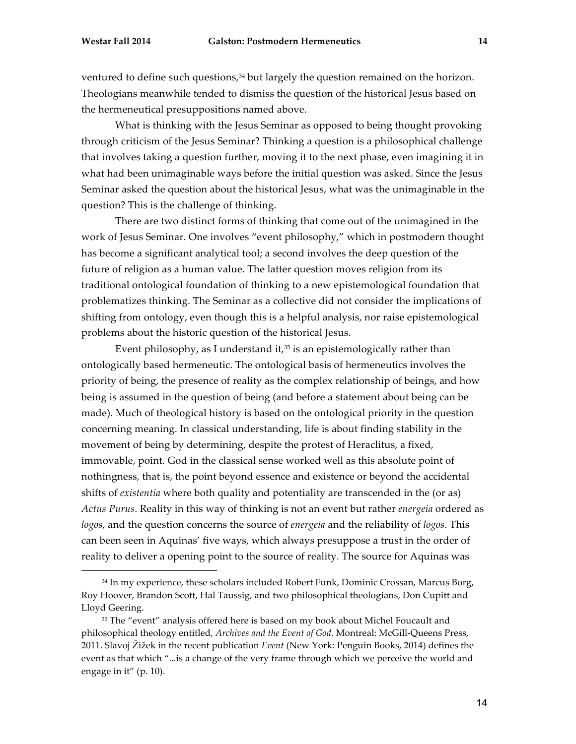ventured to define such questions,<sup>34</sup> but largely the question remained on the horizon. Theologians meanwhile tended to dismiss the question of the historical Jesus based on the hermeneutical presuppositions named above.

What is thinking with the Jesus Seminar as opposed to being thought provoking through criticism of the Jesus Seminar? Thinking a question is a philosophical challenge that involves taking a question further, moving it to the next phase, even imagining it in what had been unimaginable ways before the initial question was asked. Since the Jesus Seminar asked the question about the historical Jesus, what was the unimaginable in the question? This is the challenge of thinking.

There are two distinct forms of thinking that come out of the unimagined in the work of Jesus Seminar. One involves "event philosophy," which in postmodern thought has become a significant analytical tool; a second involves the deep question of the future of religion as a human value. The latter question moves religion from its traditional ontological foundation of thinking to a new epistemological foundation that problematizes thinking. The Seminar as a collective did not consider the implications of shifting from ontology, even though this is a helpful analysis, nor raise epistemological problems about the historic question of the historical Jesus.

Event philosophy, as I understand it, $35$  is an epistemologically rather than ontologically based hermeneutic. The ontological basis of hermeneutics involves the priority of being, the presence of reality as the complex relationship of beings, and how being is assumed in the question of being (and before a statement about being can be made). Much of theological history is based on the ontological priority in the question concerning meaning. In classical understanding, life is about finding stability in the movement of being by determining, despite the protest of Heraclitus, a fixed, immovable, point. God in the classical sense worked well as this absolute point of nothingness, that is, the point beyond essence and existence or beyond the accidental shifts of *existentia* where both quality and potentiality are transcended in the (or as) *Actus Purus*. Reality in this way of thinking is not an event but rather *energeia* ordered as *logos*, and the question concerns the source of *energeia* and the reliability of *logos*. This can been seen in Aquinas' five ways, which always presuppose a trust in the order of reality to deliver a opening point to the source of reality. The source for Aquinas was

<sup>&</sup>lt;sup>34</sup> In my experience, these scholars included Robert Funk, Dominic Crossan, Marcus Borg, Roy Hoover, Brandon Scott, Hal Taussig, and two philosophical theologians, Don Cupitt and Lloyd Geering.

<sup>&</sup>lt;sup>35</sup> The "event" analysis offered here is based on my book about Michel Foucault and philosophical theology entitled, *Archives and the Event of God*. Montreal: McGill-Queens Press, 2011. Slavoj Žižek in the recent publication *Event* (New York: Penguin Books, 2014) defines the event as that which "...is a change of the very frame through which we perceive the world and engage in it" (p. 10).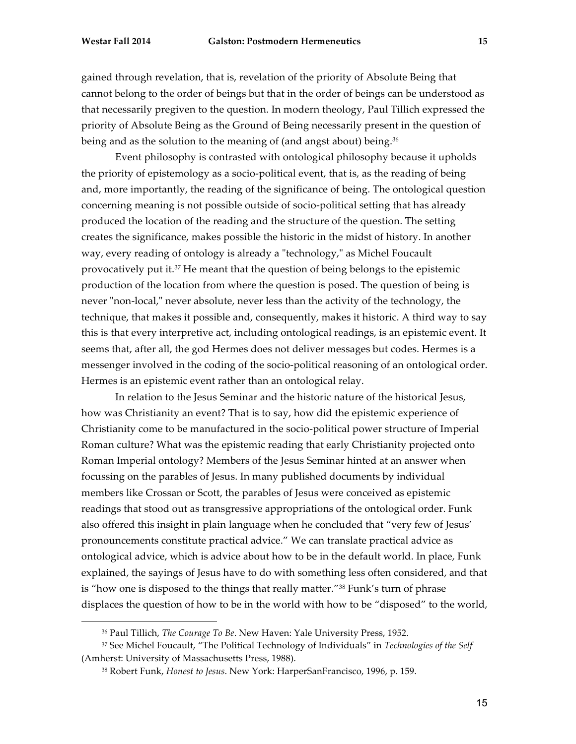gained through revelation, that is, revelation of the priority of Absolute Being that cannot belong to the order of beings but that in the order of beings can be understood as that necessarily pregiven to the question. In modern theology, Paul Tillich expressed the priority of Absolute Being as the Ground of Being necessarily present in the question of being and as the solution to the meaning of (and angst about) being.<sup>36</sup>

Event philosophy is contrasted with ontological philosophy because it upholds the priority of epistemology as a socio-political event, that is, as the reading of being and, more importantly, the reading of the significance of being. The ontological question concerning meaning is not possible outside of socio-political setting that has already produced the location of the reading and the structure of the question. The setting creates the significance, makes possible the historic in the midst of history. In another way, every reading of ontology is already a "technology," as Michel Foucault provocatively put it.37 He meant that the question of being belongs to the epistemic production of the location from where the question is posed. The question of being is never "non-local," never absolute, never less than the activity of the technology, the technique, that makes it possible and, consequently, makes it historic. A third way to say this is that every interpretive act, including ontological readings, is an epistemic event. It seems that, after all, the god Hermes does not deliver messages but codes. Hermes is a messenger involved in the coding of the socio-political reasoning of an ontological order. Hermes is an epistemic event rather than an ontological relay.

In relation to the Jesus Seminar and the historic nature of the historical Jesus, how was Christianity an event? That is to say, how did the epistemic experience of Christianity come to be manufactured in the socio-political power structure of Imperial Roman culture? What was the epistemic reading that early Christianity projected onto Roman Imperial ontology? Members of the Jesus Seminar hinted at an answer when focussing on the parables of Jesus. In many published documents by individual members like Crossan or Scott, the parables of Jesus were conceived as epistemic readings that stood out as transgressive appropriations of the ontological order. Funk also offered this insight in plain language when he concluded that "very few of Jesus' pronouncements constitute practical advice." We can translate practical advice as ontological advice, which is advice about how to be in the default world. In place, Funk explained, the sayings of Jesus have to do with something less often considered, and that is "how one is disposed to the things that really matter."38 Funk's turn of phrase displaces the question of how to be in the world with how to be "disposed" to the world,

<sup>36</sup> Paul Tillich, *The Courage To Be*. New Haven: Yale University Press, 1952.

<sup>37</sup> See Michel Foucault, "The Political Technology of Individuals" in *Technologies of the Self* (Amherst: University of Massachusetts Press, 1988).

<sup>38</sup> Robert Funk, *Honest to Jesus*. New York: HarperSanFrancisco, 1996, p. 159.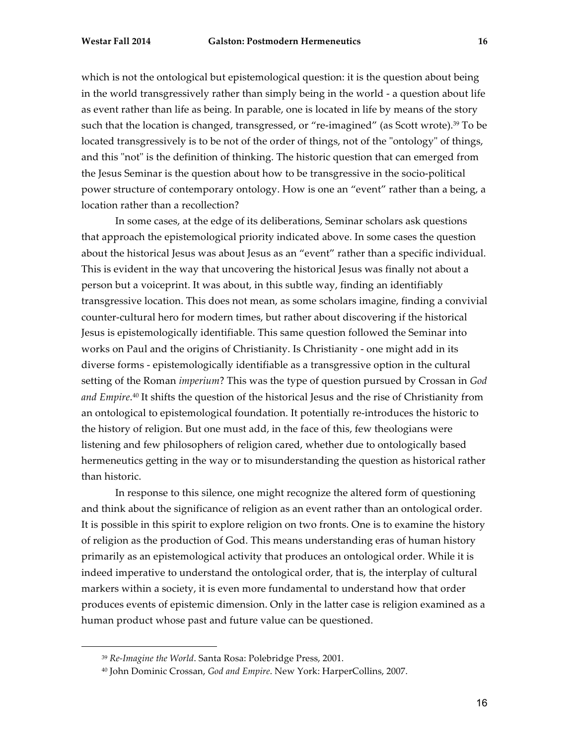which is not the ontological but epistemological question: it is the question about being in the world transgressively rather than simply being in the world - a question about life as event rather than life as being. In parable, one is located in life by means of the story such that the location is changed, transgressed, or "re-imagined" (as Scott wrote).<sup>39</sup> To be located transgressively is to be not of the order of things, not of the "ontology" of things, and this "not" is the definition of thinking. The historic question that can emerged from the Jesus Seminar is the question about how to be transgressive in the socio-political power structure of contemporary ontology. How is one an "event" rather than a being, a location rather than a recollection?

In some cases, at the edge of its deliberations, Seminar scholars ask questions that approach the epistemological priority indicated above. In some cases the question about the historical Jesus was about Jesus as an "event" rather than a specific individual. This is evident in the way that uncovering the historical Jesus was finally not about a person but a voiceprint. It was about, in this subtle way, finding an identifiably transgressive location. This does not mean, as some scholars imagine, finding a convivial counter-cultural hero for modern times, but rather about discovering if the historical Jesus is epistemologically identifiable. This same question followed the Seminar into works on Paul and the origins of Christianity. Is Christianity - one might add in its diverse forms - epistemologically identifiable as a transgressive option in the cultural setting of the Roman *imperium*? This was the type of question pursued by Crossan in *God and Empire*. <sup>40</sup> It shifts the question of the historical Jesus and the rise of Christianity from an ontological to epistemological foundation. It potentially re-introduces the historic to the history of religion. But one must add, in the face of this, few theologians were listening and few philosophers of religion cared, whether due to ontologically based hermeneutics getting in the way or to misunderstanding the question as historical rather than historic.

In response to this silence, one might recognize the altered form of questioning and think about the significance of religion as an event rather than an ontological order. It is possible in this spirit to explore religion on two fronts. One is to examine the history of religion as the production of God. This means understanding eras of human history primarily as an epistemological activity that produces an ontological order. While it is indeed imperative to understand the ontological order, that is, the interplay of cultural markers within a society, it is even more fundamental to understand how that order produces events of epistemic dimension. Only in the latter case is religion examined as a human product whose past and future value can be questioned.

<sup>39</sup> *Re-Imagine the World*. Santa Rosa: Polebridge Press, 2001.

<sup>40</sup> John Dominic Crossan, *God and Empire*. New York: HarperCollins, 2007.